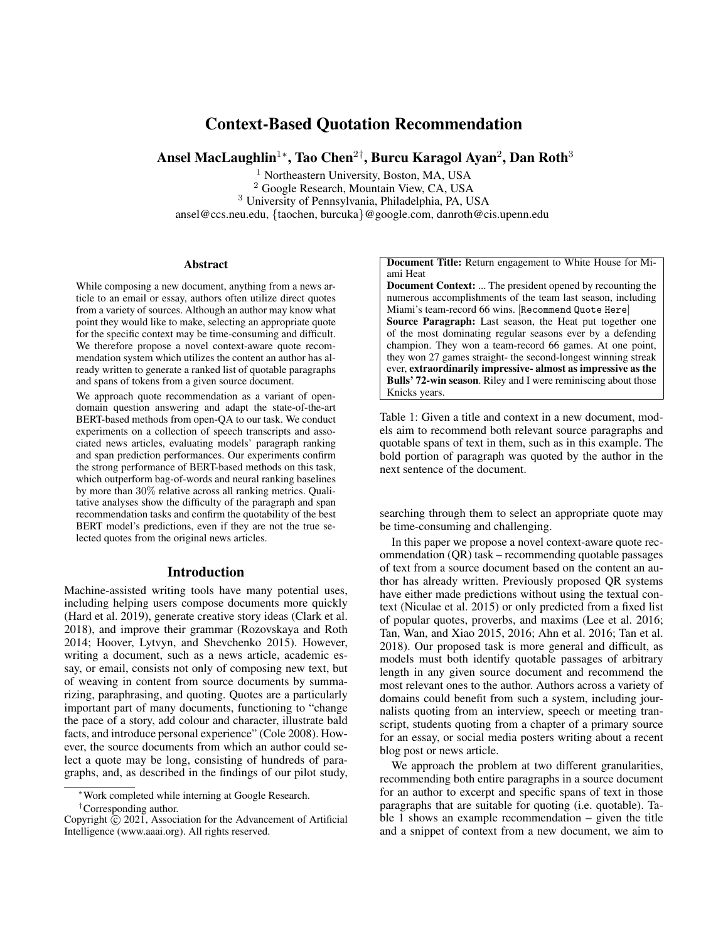# Context-Based Quotation Recommendation

Ansel MacLaughlin $^{1*}$ , Tao Chen $^{2\dagger}$ , Burcu Karagol Ayan $^2$ , Dan Roth $^3$ 

<sup>1</sup> Northeastern University, Boston, MA, USA <sup>2</sup> Google Research, Mountain View, CA, USA <sup>3</sup> University of Pennsylvania, Philadelphia, PA, USA ansel@ccs.neu.edu, {taochen, burcuka}@google.com, danroth@cis.upenn.edu

#### **Abstract**

While composing a new document, anything from a news article to an email or essay, authors often utilize direct quotes from a variety of sources. Although an author may know what point they would like to make, selecting an appropriate quote for the specific context may be time-consuming and difficult. We therefore propose a novel context-aware quote recommendation system which utilizes the content an author has already written to generate a ranked list of quotable paragraphs and spans of tokens from a given source document.

We approach quote recommendation as a variant of opendomain question answering and adapt the state-of-the-art BERT-based methods from open-QA to our task. We conduct experiments on a collection of speech transcripts and associated news articles, evaluating models' paragraph ranking and span prediction performances. Our experiments confirm the strong performance of BERT-based methods on this task, which outperform bag-of-words and neural ranking baselines by more than 30% relative across all ranking metrics. Qualitative analyses show the difficulty of the paragraph and span recommendation tasks and confirm the quotability of the best BERT model's predictions, even if they are not the true selected quotes from the original news articles.

#### Introduction

Machine-assisted writing tools have many potential uses, including helping users compose documents more quickly (Hard et al. 2019), generate creative story ideas (Clark et al. 2018), and improve their grammar (Rozovskaya and Roth 2014; Hoover, Lytvyn, and Shevchenko 2015). However, writing a document, such as a news article, academic essay, or email, consists not only of composing new text, but of weaving in content from source documents by summarizing, paraphrasing, and quoting. Quotes are a particularly important part of many documents, functioning to "change the pace of a story, add colour and character, illustrate bald facts, and introduce personal experience" (Cole 2008). However, the source documents from which an author could select a quote may be long, consisting of hundreds of paragraphs, and, as described in the findings of our pilot study, Document Title: Return engagement to White House for Miami Heat

Document Context: ... The president opened by recounting the numerous accomplishments of the team last season, including Miami's team-record 66 wins. [Recommend Quote Here] Source Paragraph: Last season, the Heat put together one of the most dominating regular seasons ever by a defending champion. They won a team-record 66 games. At one point, they won 27 games straight- the second-longest winning streak ever, extraordinarily impressive- almost as impressive as the Bulls' 72-win season. Riley and I were reminiscing about those Knicks years.

Table 1: Given a title and context in a new document, models aim to recommend both relevant source paragraphs and quotable spans of text in them, such as in this example. The bold portion of paragraph was quoted by the author in the next sentence of the document.

searching through them to select an appropriate quote may be time-consuming and challenging.

In this paper we propose a novel context-aware quote recommendation (QR) task – recommending quotable passages of text from a source document based on the content an author has already written. Previously proposed QR systems have either made predictions without using the textual context (Niculae et al. 2015) or only predicted from a fixed list of popular quotes, proverbs, and maxims (Lee et al. 2016; Tan, Wan, and Xiao 2015, 2016; Ahn et al. 2016; Tan et al. 2018). Our proposed task is more general and difficult, as models must both identify quotable passages of arbitrary length in any given source document and recommend the most relevant ones to the author. Authors across a variety of domains could benefit from such a system, including journalists quoting from an interview, speech or meeting transcript, students quoting from a chapter of a primary source for an essay, or social media posters writing about a recent blog post or news article.

We approach the problem at two different granularities, recommending both entire paragraphs in a source document for an author to excerpt and specific spans of text in those paragraphs that are suitable for quoting (i.e. quotable). Table 1 shows an example recommendation – given the title and a snippet of context from a new document, we aim to

<sup>∗</sup>Work completed while interning at Google Research.

<sup>†</sup>Corresponding author.

Copyright  $\hat{C}$  2021, Association for the Advancement of Artificial Intelligence (www.aaai.org). All rights reserved.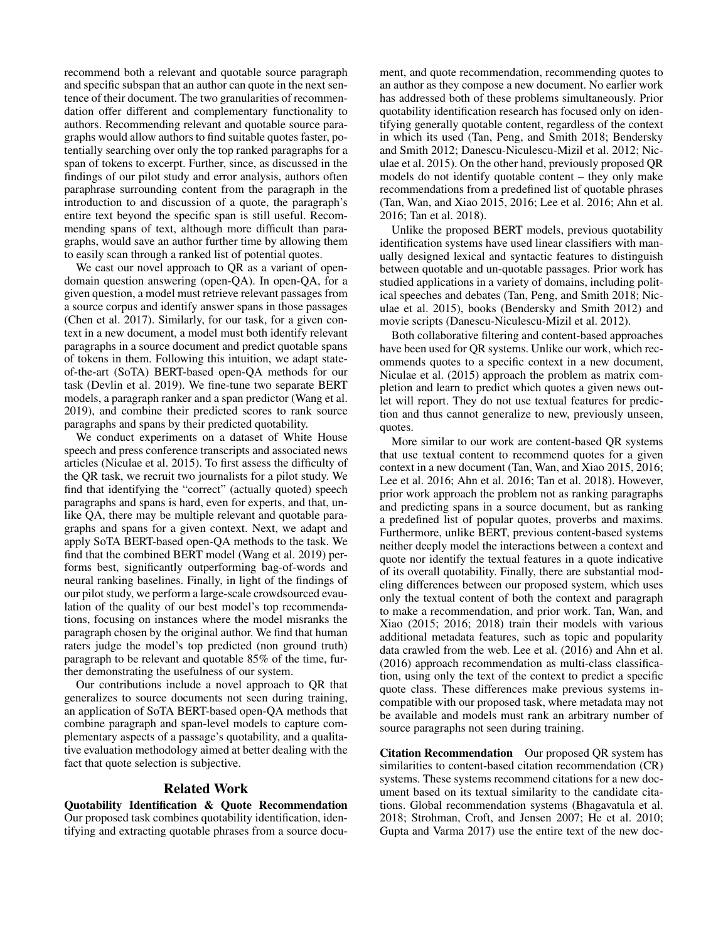recommend both a relevant and quotable source paragraph and specific subspan that an author can quote in the next sentence of their document. The two granularities of recommendation offer different and complementary functionality to authors. Recommending relevant and quotable source paragraphs would allow authors to find suitable quotes faster, potentially searching over only the top ranked paragraphs for a span of tokens to excerpt. Further, since, as discussed in the findings of our pilot study and error analysis, authors often paraphrase surrounding content from the paragraph in the introduction to and discussion of a quote, the paragraph's entire text beyond the specific span is still useful. Recommending spans of text, although more difficult than paragraphs, would save an author further time by allowing them to easily scan through a ranked list of potential quotes.

We cast our novel approach to QR as a variant of opendomain question answering (open-QA). In open-QA, for a given question, a model must retrieve relevant passages from a source corpus and identify answer spans in those passages (Chen et al. 2017). Similarly, for our task, for a given context in a new document, a model must both identify relevant paragraphs in a source document and predict quotable spans of tokens in them. Following this intuition, we adapt stateof-the-art (SoTA) BERT-based open-QA methods for our task (Devlin et al. 2019). We fine-tune two separate BERT models, a paragraph ranker and a span predictor (Wang et al. 2019), and combine their predicted scores to rank source paragraphs and spans by their predicted quotability.

We conduct experiments on a dataset of White House speech and press conference transcripts and associated news articles (Niculae et al. 2015). To first assess the difficulty of the QR task, we recruit two journalists for a pilot study. We find that identifying the "correct" (actually quoted) speech paragraphs and spans is hard, even for experts, and that, unlike QA, there may be multiple relevant and quotable paragraphs and spans for a given context. Next, we adapt and apply SoTA BERT-based open-QA methods to the task. We find that the combined BERT model (Wang et al. 2019) performs best, significantly outperforming bag-of-words and neural ranking baselines. Finally, in light of the findings of our pilot study, we perform a large-scale crowdsourced evaulation of the quality of our best model's top recommendations, focusing on instances where the model misranks the paragraph chosen by the original author. We find that human raters judge the model's top predicted (non ground truth) paragraph to be relevant and quotable 85% of the time, further demonstrating the usefulness of our system.

Our contributions include a novel approach to QR that generalizes to source documents not seen during training, an application of SoTA BERT-based open-QA methods that combine paragraph and span-level models to capture complementary aspects of a passage's quotability, and a qualitative evaluation methodology aimed at better dealing with the fact that quote selection is subjective.

#### Related Work

Quotability Identification & Quote Recommendation Our proposed task combines quotability identification, identifying and extracting quotable phrases from a source docu-

ment, and quote recommendation, recommending quotes to an author as they compose a new document. No earlier work has addressed both of these problems simultaneously. Prior quotability identification research has focused only on identifying generally quotable content, regardless of the context in which its used (Tan, Peng, and Smith 2018; Bendersky and Smith 2012; Danescu-Niculescu-Mizil et al. 2012; Niculae et al. 2015). On the other hand, previously proposed QR models do not identify quotable content – they only make recommendations from a predefined list of quotable phrases (Tan, Wan, and Xiao 2015, 2016; Lee et al. 2016; Ahn et al. 2016; Tan et al. 2018).

Unlike the proposed BERT models, previous quotability identification systems have used linear classifiers with manually designed lexical and syntactic features to distinguish between quotable and un-quotable passages. Prior work has studied applications in a variety of domains, including political speeches and debates (Tan, Peng, and Smith 2018; Niculae et al. 2015), books (Bendersky and Smith 2012) and movie scripts (Danescu-Niculescu-Mizil et al. 2012).

Both collaborative filtering and content-based approaches have been used for QR systems. Unlike our work, which recommends quotes to a specific context in a new document, Niculae et al. (2015) approach the problem as matrix completion and learn to predict which quotes a given news outlet will report. They do not use textual features for prediction and thus cannot generalize to new, previously unseen, quotes.

More similar to our work are content-based QR systems that use textual content to recommend quotes for a given context in a new document (Tan, Wan, and Xiao 2015, 2016; Lee et al. 2016; Ahn et al. 2016; Tan et al. 2018). However, prior work approach the problem not as ranking paragraphs and predicting spans in a source document, but as ranking a predefined list of popular quotes, proverbs and maxims. Furthermore, unlike BERT, previous content-based systems neither deeply model the interactions between a context and quote nor identify the textual features in a quote indicative of its overall quotability. Finally, there are substantial modeling differences between our proposed system, which uses only the textual content of both the context and paragraph to make a recommendation, and prior work. Tan, Wan, and Xiao (2015; 2016; 2018) train their models with various additional metadata features, such as topic and popularity data crawled from the web. Lee et al. (2016) and Ahn et al. (2016) approach recommendation as multi-class classification, using only the text of the context to predict a specific quote class. These differences make previous systems incompatible with our proposed task, where metadata may not be available and models must rank an arbitrary number of source paragraphs not seen during training.

Citation Recommendation Our proposed QR system has similarities to content-based citation recommendation (CR) systems. These systems recommend citations for a new document based on its textual similarity to the candidate citations. Global recommendation systems (Bhagavatula et al. 2018; Strohman, Croft, and Jensen 2007; He et al. 2010; Gupta and Varma 2017) use the entire text of the new doc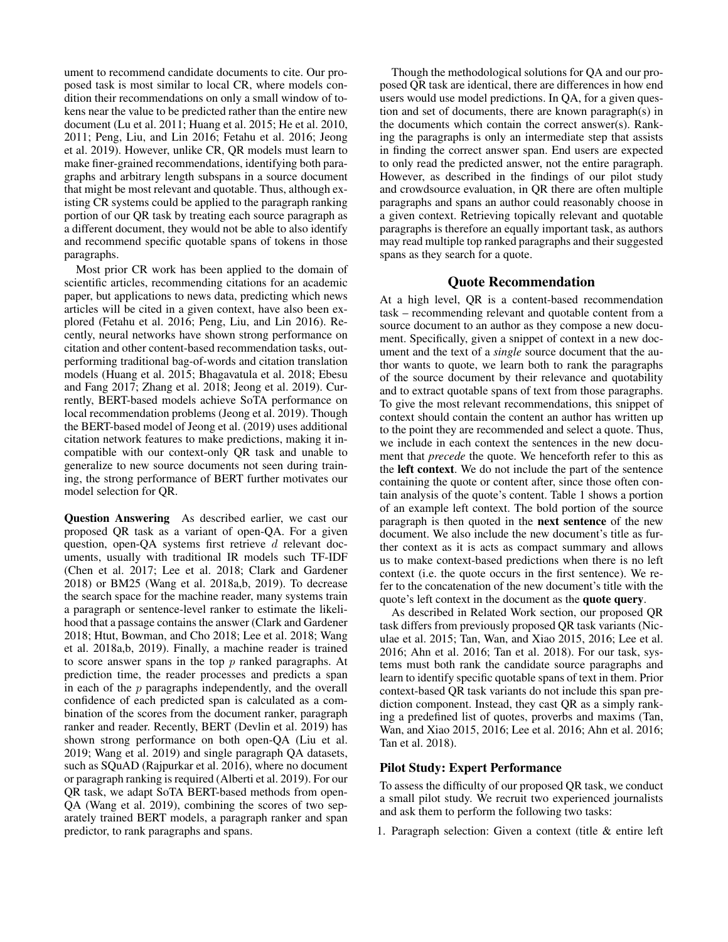ument to recommend candidate documents to cite. Our proposed task is most similar to local CR, where models condition their recommendations on only a small window of tokens near the value to be predicted rather than the entire new document (Lu et al. 2011; Huang et al. 2015; He et al. 2010, 2011; Peng, Liu, and Lin 2016; Fetahu et al. 2016; Jeong et al. 2019). However, unlike CR, QR models must learn to make finer-grained recommendations, identifying both paragraphs and arbitrary length subspans in a source document that might be most relevant and quotable. Thus, although existing CR systems could be applied to the paragraph ranking portion of our QR task by treating each source paragraph as a different document, they would not be able to also identify and recommend specific quotable spans of tokens in those paragraphs.

Most prior CR work has been applied to the domain of scientific articles, recommending citations for an academic paper, but applications to news data, predicting which news articles will be cited in a given context, have also been explored (Fetahu et al. 2016; Peng, Liu, and Lin 2016). Recently, neural networks have shown strong performance on citation and other content-based recommendation tasks, outperforming traditional bag-of-words and citation translation models (Huang et al. 2015; Bhagavatula et al. 2018; Ebesu and Fang 2017; Zhang et al. 2018; Jeong et al. 2019). Currently, BERT-based models achieve SoTA performance on local recommendation problems (Jeong et al. 2019). Though the BERT-based model of Jeong et al. (2019) uses additional citation network features to make predictions, making it incompatible with our context-only QR task and unable to generalize to new source documents not seen during training, the strong performance of BERT further motivates our model selection for QR.

Question Answering As described earlier, we cast our proposed QR task as a variant of open-QA. For a given question, open-QA systems first retrieve d relevant documents, usually with traditional IR models such TF-IDF (Chen et al. 2017; Lee et al. 2018; Clark and Gardener 2018) or BM25 (Wang et al. 2018a,b, 2019). To decrease the search space for the machine reader, many systems train a paragraph or sentence-level ranker to estimate the likelihood that a passage contains the answer (Clark and Gardener 2018; Htut, Bowman, and Cho 2018; Lee et al. 2018; Wang et al. 2018a,b, 2019). Finally, a machine reader is trained to score answer spans in the top  $p$  ranked paragraphs. At prediction time, the reader processes and predicts a span in each of the  $p$  paragraphs independently, and the overall confidence of each predicted span is calculated as a combination of the scores from the document ranker, paragraph ranker and reader. Recently, BERT (Devlin et al. 2019) has shown strong performance on both open-QA (Liu et al. 2019; Wang et al. 2019) and single paragraph QA datasets, such as SQuAD (Rajpurkar et al. 2016), where no document or paragraph ranking is required (Alberti et al. 2019). For our QR task, we adapt SoTA BERT-based methods from open-QA (Wang et al. 2019), combining the scores of two separately trained BERT models, a paragraph ranker and span predictor, to rank paragraphs and spans.

Though the methodological solutions for QA and our proposed QR task are identical, there are differences in how end users would use model predictions. In QA, for a given question and set of documents, there are known paragraph(s) in the documents which contain the correct answer(s). Ranking the paragraphs is only an intermediate step that assists in finding the correct answer span. End users are expected to only read the predicted answer, not the entire paragraph. However, as described in the findings of our pilot study and crowdsource evaluation, in QR there are often multiple paragraphs and spans an author could reasonably choose in a given context. Retrieving topically relevant and quotable paragraphs is therefore an equally important task, as authors may read multiple top ranked paragraphs and their suggested spans as they search for a quote.

# Quote Recommendation

At a high level, QR is a content-based recommendation task – recommending relevant and quotable content from a source document to an author as they compose a new document. Specifically, given a snippet of context in a new document and the text of a *single* source document that the author wants to quote, we learn both to rank the paragraphs of the source document by their relevance and quotability and to extract quotable spans of text from those paragraphs. To give the most relevant recommendations, this snippet of context should contain the content an author has written up to the point they are recommended and select a quote. Thus, we include in each context the sentences in the new document that *precede* the quote. We henceforth refer to this as the left context. We do not include the part of the sentence containing the quote or content after, since those often contain analysis of the quote's content. Table 1 shows a portion of an example left context. The bold portion of the source paragraph is then quoted in the next sentence of the new document. We also include the new document's title as further context as it is acts as compact summary and allows us to make context-based predictions when there is no left context (i.e. the quote occurs in the first sentence). We refer to the concatenation of the new document's title with the quote's left context in the document as the quote query.

As described in Related Work section, our proposed QR task differs from previously proposed QR task variants (Niculae et al. 2015; Tan, Wan, and Xiao 2015, 2016; Lee et al. 2016; Ahn et al. 2016; Tan et al. 2018). For our task, systems must both rank the candidate source paragraphs and learn to identify specific quotable spans of text in them. Prior context-based QR task variants do not include this span prediction component. Instead, they cast QR as a simply ranking a predefined list of quotes, proverbs and maxims (Tan, Wan, and Xiao 2015, 2016; Lee et al. 2016; Ahn et al. 2016; Tan et al. 2018).

### Pilot Study: Expert Performance

To assess the difficulty of our proposed QR task, we conduct a small pilot study. We recruit two experienced journalists and ask them to perform the following two tasks:

1. Paragraph selection: Given a context (title & entire left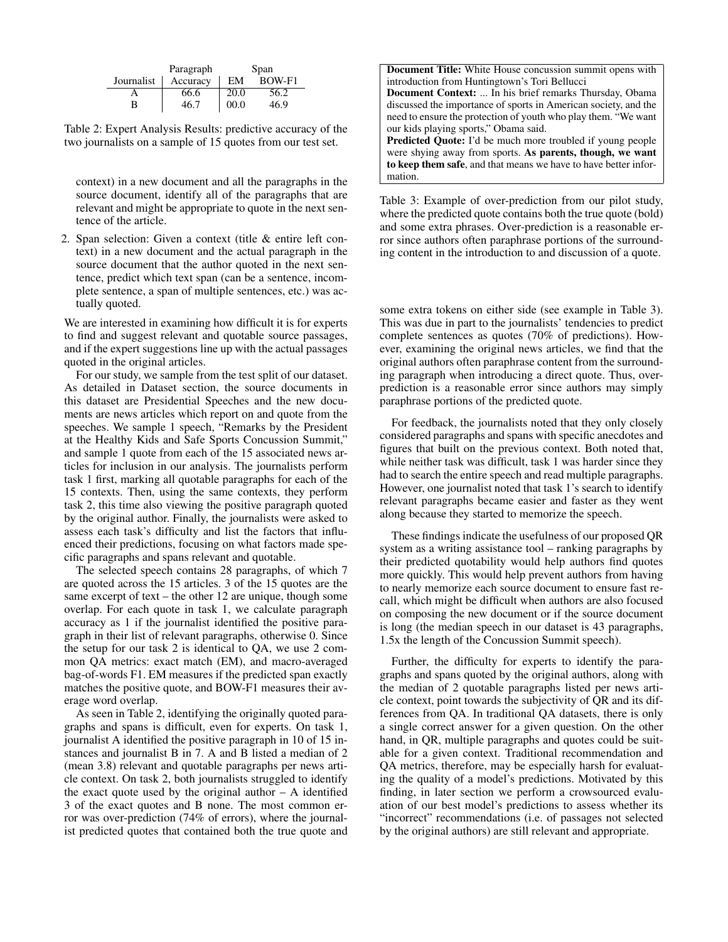|            | Paragraph | Span |        |
|------------|-----------|------|--------|
| Journalist | Accuracy  | EМ   | BOW-F1 |
|            | 66.6      | 20.0 | 56.2   |
| B          | 46.7      | 00.0 | 46.9   |

Table 2: Expert Analysis Results: predictive accuracy of the two journalists on a sample of 15 quotes from our test set.

context) in a new document and all the paragraphs in the source document, identify all of the paragraphs that are relevant and might be appropriate to quote in the next sentence of the article.

2. Span selection: Given a context (title & entire left context) in a new document and the actual paragraph in the source document that the author quoted in the next sentence, predict which text span (can be a sentence, incomplete sentence, a span of multiple sentences, etc.) was actually quoted.

We are interested in examining how difficult it is for experts to find and suggest relevant and quotable source passages, and if the expert suggestions line up with the actual passages quoted in the original articles.

For our study, we sample from the test split of our dataset. As detailed in Dataset section, the source documents in this dataset are Presidential Speeches and the new documents are news articles which report on and quote from the speeches. We sample 1 speech, "Remarks by the President at the Healthy Kids and Safe Sports Concussion Summit," and sample 1 quote from each of the 15 associated news articles for inclusion in our analysis. The journalists perform task 1 first, marking all quotable paragraphs for each of the 15 contexts. Then, using the same contexts, they perform task 2, this time also viewing the positive paragraph quoted by the original author. Finally, the journalists were asked to assess each task's difficulty and list the factors that influenced their predictions, focusing on what factors made specific paragraphs and spans relevant and quotable.

The selected speech contains 28 paragraphs, of which 7 are quoted across the 15 articles. 3 of the 15 quotes are the same excerpt of text – the other 12 are unique, though some overlap. For each quote in task 1, we calculate paragraph accuracy as 1 if the journalist identified the positive paragraph in their list of relevant paragraphs, otherwise 0. Since the setup for our task 2 is identical to QA, we use 2 common QA metrics: exact match (EM), and macro-averaged bag-of-words F1. EM measures if the predicted span exactly matches the positive quote, and BOW-F1 measures their average word overlap.

As seen in Table 2, identifying the originally quoted paragraphs and spans is difficult, even for experts. On task 1, journalist A identified the positive paragraph in 10 of 15 instances and journalist B in 7. A and B listed a median of 2 (mean 3.8) relevant and quotable paragraphs per news article context. On task 2, both journalists struggled to identify the exact quote used by the original author  $- A$  identified 3 of the exact quotes and B none. The most common error was over-prediction (74% of errors), where the journalist predicted quotes that contained both the true quote and

Table 3: Example of over-prediction from our pilot study, where the predicted quote contains both the true quote (bold) and some extra phrases. Over-prediction is a reasonable error since authors often paraphrase portions of the surrounding content in the introduction to and discussion of a quote.

some extra tokens on either side (see example in Table 3). This was due in part to the journalists' tendencies to predict complete sentences as quotes (70% of predictions). However, examining the original news articles, we find that the original authors often paraphrase content from the surrounding paragraph when introducing a direct quote. Thus, overprediction is a reasonable error since authors may simply paraphrase portions of the predicted quote.

For feedback, the journalists noted that they only closely considered paragraphs and spans with specific anecdotes and figures that built on the previous context. Both noted that, while neither task was difficult, task 1 was harder since they had to search the entire speech and read multiple paragraphs. However, one journalist noted that task 1's search to identify relevant paragraphs became easier and faster as they went along because they started to memorize the speech.

These findings indicate the usefulness of our proposed QR system as a writing assistance tool – ranking paragraphs by their predicted quotability would help authors find quotes more quickly. This would help prevent authors from having to nearly memorize each source document to ensure fast recall, which might be difficult when authors are also focused on composing the new document or if the source document is long (the median speech in our dataset is 43 paragraphs, 1.5x the length of the Concussion Summit speech).

Further, the difficulty for experts to identify the paragraphs and spans quoted by the original authors, along with the median of 2 quotable paragraphs listed per news article context, point towards the subjectivity of QR and its differences from QA. In traditional QA datasets, there is only a single correct answer for a given question. On the other hand, in QR, multiple paragraphs and quotes could be suitable for a given context. Traditional recommendation and QA metrics, therefore, may be especially harsh for evaluating the quality of a model's predictions. Motivated by this finding, in later section we perform a crowsourced evaluation of our best model's predictions to assess whether its "incorrect" recommendations (i.e. of passages not selected by the original authors) are still relevant and appropriate.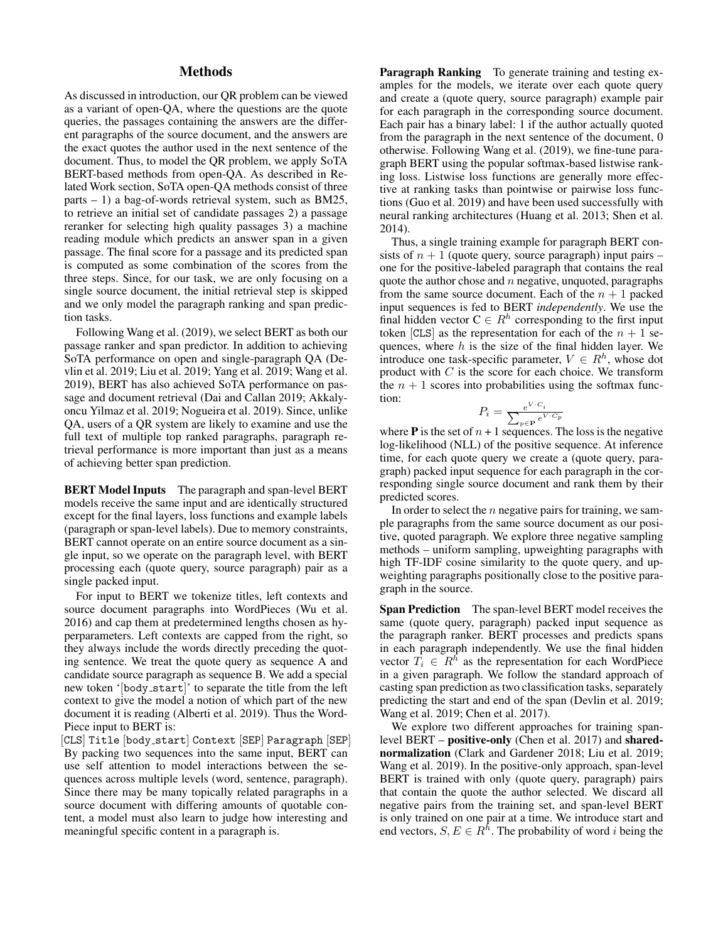# **Methods**

As discussed in introduction, our QR problem can be viewed as a variant of open-QA, where the questions are the quote queries, the passages containing the answers are the different paragraphs of the source document, and the answers are the exact quotes the author used in the next sentence of the document. Thus, to model the QR problem, we apply SoTA BERT-based methods from open-QA. As described in Related Work section, SoTA open-QA methods consist of three parts – 1) a bag-of-words retrieval system, such as BM25, to retrieve an initial set of candidate passages 2) a passage reranker for selecting high quality passages 3) a machine reading module which predicts an answer span in a given passage. The final score for a passage and its predicted span is computed as some combination of the scores from the three steps. Since, for our task, we are only focusing on a single source document, the initial retrieval step is skipped and we only model the paragraph ranking and span prediction tasks.

Following Wang et al. (2019), we select BERT as both our passage ranker and span predictor. In addition to achieving SoTA performance on open and single-paragraph QA (Devlin et al. 2019; Liu et al. 2019; Yang et al. 2019; Wang et al. 2019), BERT has also achieved SoTA performance on passage and document retrieval (Dai and Callan 2019; Akkalyoncu Yilmaz et al. 2019; Nogueira et al. 2019). Since, unlike QA, users of a QR system are likely to examine and use the full text of multiple top ranked paragraphs, paragraph retrieval performance is more important than just as a means of achieving better span prediction.

BERT Model Inputs The paragraph and span-level BERT models receive the same input and are identically structured except for the final layers, loss functions and example labels (paragraph or span-level labels). Due to memory constraints, BERT cannot operate on an entire source document as a single input, so we operate on the paragraph level, with BERT processing each (quote query, source paragraph) pair as a single packed input.

For input to BERT we tokenize titles, left contexts and source document paragraphs into WordPieces (Wu et al. 2016) and cap them at predetermined lengths chosen as hyperparameters. Left contexts are capped from the right, so they always include the words directly preceding the quoting sentence. We treat the quote query as sequence A and candidate source paragraph as sequence B. We add a special new token '[body start]' to separate the title from the left context to give the model a notion of which part of the new document it is reading (Alberti et al. 2019). Thus the Word-Piece input to BERT is:

[CLS] Title [body start] Context [SEP] Paragraph [SEP] By packing two sequences into the same input, BERT can use self attention to model interactions between the sequences across multiple levels (word, sentence, paragraph). Since there may be many topically related paragraphs in a source document with differing amounts of quotable content, a model must also learn to judge how interesting and meaningful specific content in a paragraph is.

Paragraph Ranking To generate training and testing examples for the models, we iterate over each quote query and create a (quote query, source paragraph) example pair for each paragraph in the corresponding source document. Each pair has a binary label: 1 if the author actually quoted from the paragraph in the next sentence of the document, 0 otherwise. Following Wang et al. (2019), we fine-tune paragraph BERT using the popular softmax-based listwise ranking loss. Listwise loss functions are generally more effective at ranking tasks than pointwise or pairwise loss functions (Guo et al. 2019) and have been used successfully with neural ranking architectures (Huang et al. 2013; Shen et al. 2014).

Thus, a single training example for paragraph BERT consists of  $n + 1$  (quote query, source paragraph) input pairs – one for the positive-labeled paragraph that contains the real quote the author chose and  $n$  negative, unquoted, paragraphs from the same source document. Each of the  $n + 1$  packed input sequences is fed to BERT *independently*. We use the final hidden vector  $C \in R^h$  corresponding to the first input token [CLS] as the representation for each of the  $n + 1$  sequences, where  $h$  is the size of the final hidden layer. We introduce one task-specific parameter,  $V \in R^h$ , whose dot product with  $C$  is the score for each choice. We transform the  $n + 1$  scores into probabilities using the softmax function:

$$
P_i = \frac{e^{V \cdot C_i}}{\sum_{p \in \mathbf{P}} e^{V \cdot C_p}}
$$

where **P** is the set of  $n + 1$  sequences. The loss is the negative log-likelihood (NLL) of the positive sequence. At inference time, for each quote query we create a (quote query, paragraph) packed input sequence for each paragraph in the corresponding single source document and rank them by their predicted scores.

In order to select the  $n$  negative pairs for training, we sample paragraphs from the same source document as our positive, quoted paragraph. We explore three negative sampling methods – uniform sampling, upweighting paragraphs with high TF-IDF cosine similarity to the quote query, and upweighting paragraphs positionally close to the positive paragraph in the source.

Span Prediction The span-level BERT model receives the same (quote query, paragraph) packed input sequence as the paragraph ranker. BERT processes and predicts spans in each paragraph independently. We use the final hidden vector  $T_i \in R^{\overline{h}}$  as the representation for each WordPiece in a given paragraph. We follow the standard approach of casting span prediction as two classification tasks, separately predicting the start and end of the span (Devlin et al. 2019; Wang et al. 2019; Chen et al. 2017).

We explore two different approaches for training spanlevel BERT – positive-only (Chen et al. 2017) and sharednormalization (Clark and Gardener 2018; Liu et al. 2019; Wang et al. 2019). In the positive-only approach, span-level BERT is trained with only (quote query, paragraph) pairs that contain the quote the author selected. We discard all negative pairs from the training set, and span-level BERT is only trained on one pair at a time. We introduce start and end vectors,  $S, E \in R^{\hbar}$ . The probability of word *i* being the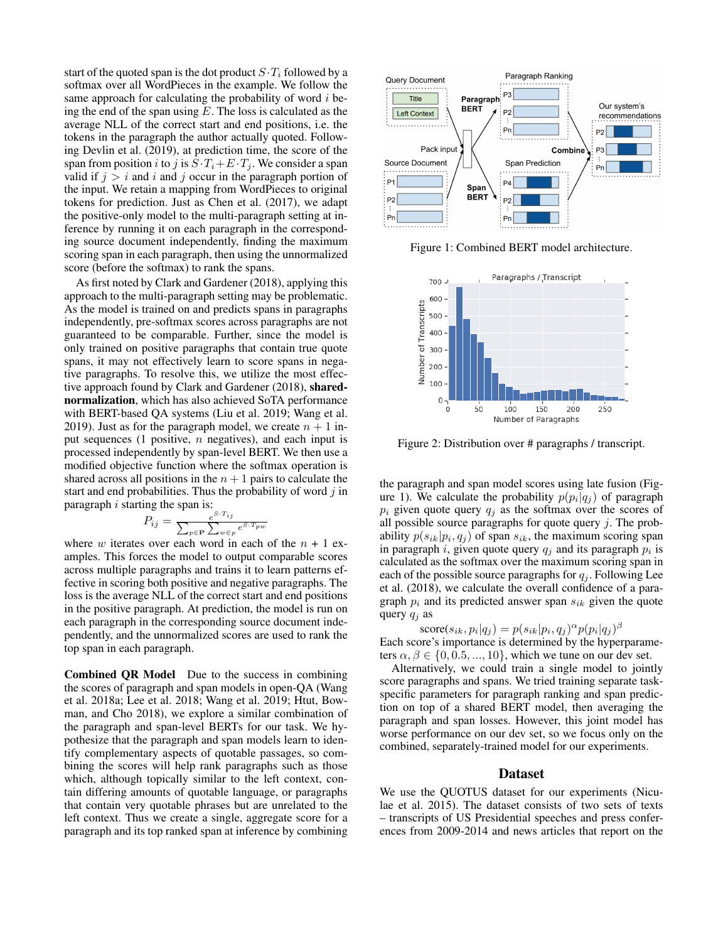start of the quoted span is the dot product  $S \cdot T_i$  followed by a softmax over all WordPieces in the example. We follow the same approach for calculating the probability of word  $i$  being the end of the span using  $E$ . The loss is calculated as the average NLL of the correct start and end positions, i.e. the tokens in the paragraph the author actually quoted. Following Devlin et al. (2019), at prediction time, the score of the span from position i to j is  $S \cdot T_i + E \cdot T_j$ . We consider a span valid if  $j > i$  and i and j occur in the paragraph portion of the input. We retain a mapping from WordPieces to original tokens for prediction. Just as Chen et al. (2017), we adapt the positive-only model to the multi-paragraph setting at inference by running it on each paragraph in the corresponding source document independently, finding the maximum scoring span in each paragraph, then using the unnormalized score (before the softmax) to rank the spans.

As first noted by Clark and Gardener (2018), applying this approach to the multi-paragraph setting may be problematic. As the model is trained on and predicts spans in paragraphs independently, pre-softmax scores across paragraphs are not guaranteed to be comparable. Further, since the model is only trained on positive paragraphs that contain true quote spans, it may not effectively learn to score spans in negative paragraphs. To resolve this, we utilize the most effective approach found by Clark and Gardener (2018), sharednormalization, which has also achieved SoTA performance with BERT-based QA systems (Liu et al. 2019; Wang et al. 2019). Just as for the paragraph model, we create  $n + 1$  input sequences (1 positive,  $n$  negatives), and each input is processed independently by span-level BERT. We then use a modified objective function where the softmax operation is shared across all positions in the  $n + 1$  pairs to calculate the start and end probabilities. Thus the probability of word  $j$  in paragraph  $i$  starting the span is:

$$
P_{ij} = \frac{e^{S \cdot T_{ij}}}{\sum_{p \in \mathbf{P}} \sum_{w \in p} e^{S \cdot T_{pw}}}
$$

where w iterates over each word in each of the  $n + 1$  examples. This forces the model to output comparable scores across multiple paragraphs and trains it to learn patterns effective in scoring both positive and negative paragraphs. The loss is the average NLL of the correct start and end positions in the positive paragraph. At prediction, the model is run on each paragraph in the corresponding source document independently, and the unnormalized scores are used to rank the top span in each paragraph.

Combined QR Model Due to the success in combining the scores of paragraph and span models in open-QA (Wang et al. 2018a; Lee et al. 2018; Wang et al. 2019; Htut, Bowman, and Cho 2018), we explore a similar combination of the paragraph and span-level BERTs for our task. We hypothesize that the paragraph and span models learn to identify complementary aspects of quotable passages, so combining the scores will help rank paragraphs such as those which, although topically similar to the left context, contain differing amounts of quotable language, or paragraphs that contain very quotable phrases but are unrelated to the left context. Thus we create a single, aggregate score for a paragraph and its top ranked span at inference by combining



Figure 1: Combined BERT model architecture.



Figure 2: Distribution over # paragraphs / transcript.

the paragraph and span model scores using late fusion (Figure 1). We calculate the probability  $p(p_i|q_j)$  of paragraph  $p_i$  given quote query  $q_j$  as the softmax over the scores of all possible source paragraphs for quote query  $j$ . The probability  $p(s_{ik}|p_i, q_j)$  of span  $s_{ik}$ , the maximum scoring span in paragraph *i*, given quote query  $q_j$  and its paragraph  $p_i$  is calculated as the softmax over the maximum scoring span in each of the possible source paragraphs for  $q_i$ . Following Lee et al. (2018), we calculate the overall confidence of a paragraph  $p_i$  and its predicted answer span  $s_{ik}$  given the quote query  $q_i$  as

 $\text{score}(s_{ik}, p_i|q_j) = p(s_{ik}|p_i, q_j)^{\alpha} p(p_i|q_j)^{\beta}$ Each score's importance is determined by the hyperparameters  $\alpha, \beta \in \{0, 0.5, ..., 10\}$ , which we tune on our dev set.

Alternatively, we could train a single model to jointly score paragraphs and spans. We tried training separate taskspecific parameters for paragraph ranking and span prediction on top of a shared BERT model, then averaging the paragraph and span losses. However, this joint model has worse performance on our dev set, so we focus only on the combined, separately-trained model for our experiments.

#### Dataset

We use the QUOTUS dataset for our experiments (Niculae et al. 2015). The dataset consists of two sets of texts – transcripts of US Presidential speeches and press conferences from 2009-2014 and news articles that report on the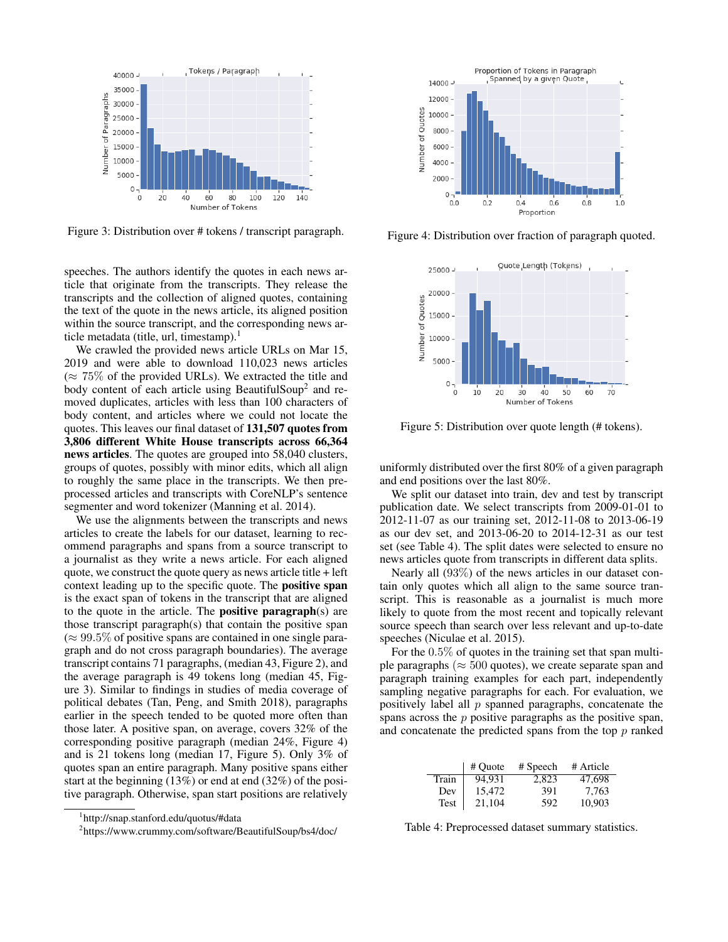

Figure 3: Distribution over # tokens / transcript paragraph.

speeches. The authors identify the quotes in each news article that originate from the transcripts. They release the transcripts and the collection of aligned quotes, containing the text of the quote in the news article, its aligned position within the source transcript, and the corresponding news article metadata (title, url, timestamp).<sup>1</sup>

We crawled the provided news article URLs on Mar 15, 2019 and were able to download 110,023 news articles  $(\approx 75\%$  of the provided URLs). We extracted the title and body content of each article using BeautifulSoup<sup>2</sup> and removed duplicates, articles with less than 100 characters of body content, and articles where we could not locate the quotes. This leaves our final dataset of 131,507 quotes from 3,806 different White House transcripts across 66,364 news articles. The quotes are grouped into 58,040 clusters, groups of quotes, possibly with minor edits, which all align to roughly the same place in the transcripts. We then preprocessed articles and transcripts with CoreNLP's sentence segmenter and word tokenizer (Manning et al. 2014).

We use the alignments between the transcripts and news articles to create the labels for our dataset, learning to recommend paragraphs and spans from a source transcript to a journalist as they write a news article. For each aligned quote, we construct the quote query as news article title + left context leading up to the specific quote. The positive span is the exact span of tokens in the transcript that are aligned to the quote in the article. The positive paragraph(s) are those transcript paragraph(s) that contain the positive span  $(\approx 99.5\%$  of positive spans are contained in one single paragraph and do not cross paragraph boundaries). The average transcript contains 71 paragraphs, (median 43, Figure 2), and the average paragraph is 49 tokens long (median 45, Figure 3). Similar to findings in studies of media coverage of political debates (Tan, Peng, and Smith 2018), paragraphs earlier in the speech tended to be quoted more often than those later. A positive span, on average, covers 32% of the corresponding positive paragraph (median 24%, Figure 4) and is 21 tokens long (median 17, Figure 5). Only 3% of quotes span an entire paragraph. Many positive spans either start at the beginning (13%) or end at end (32%) of the positive paragraph. Otherwise, span start positions are relatively



Figure 4: Distribution over fraction of paragraph quoted.



Figure 5: Distribution over quote length (# tokens).

uniformly distributed over the first 80% of a given paragraph and end positions over the last 80%.

We split our dataset into train, dev and test by transcript publication date. We select transcripts from 2009-01-01 to 2012-11-07 as our training set, 2012-11-08 to 2013-06-19 as our dev set, and 2013-06-20 to 2014-12-31 as our test set (see Table 4). The split dates were selected to ensure no news articles quote from transcripts in different data splits.

Nearly all (93%) of the news articles in our dataset contain only quotes which all align to the same source transcript. This is reasonable as a journalist is much more likely to quote from the most recent and topically relevant source speech than search over less relevant and up-to-date speeches (Niculae et al. 2015).

For the 0.5% of quotes in the training set that span multiple paragraphs ( $\approx 500$  quotes), we create separate span and paragraph training examples for each part, independently sampling negative paragraphs for each. For evaluation, we positively label all  $p$  spanned paragraphs, concatenate the spans across the  $p$  positive paragraphs as the positive span, and concatenate the predicted spans from the top  $p$  ranked

|       | # Ouote | # Speech | # Article |
|-------|---------|----------|-----------|
| Train | 94.931  | 2.823    | 47.698    |
| Dev   | 15,472  | 391      | 7,763     |
| Test  | 21.104  | 592      | 10.903    |

Table 4: Preprocessed dataset summary statistics.

<sup>1</sup> http://snap.stanford.edu/quotus/#data

<sup>&</sup>lt;sup>2</sup>https://www.crummy.com/software/BeautifulSoup/bs4/doc/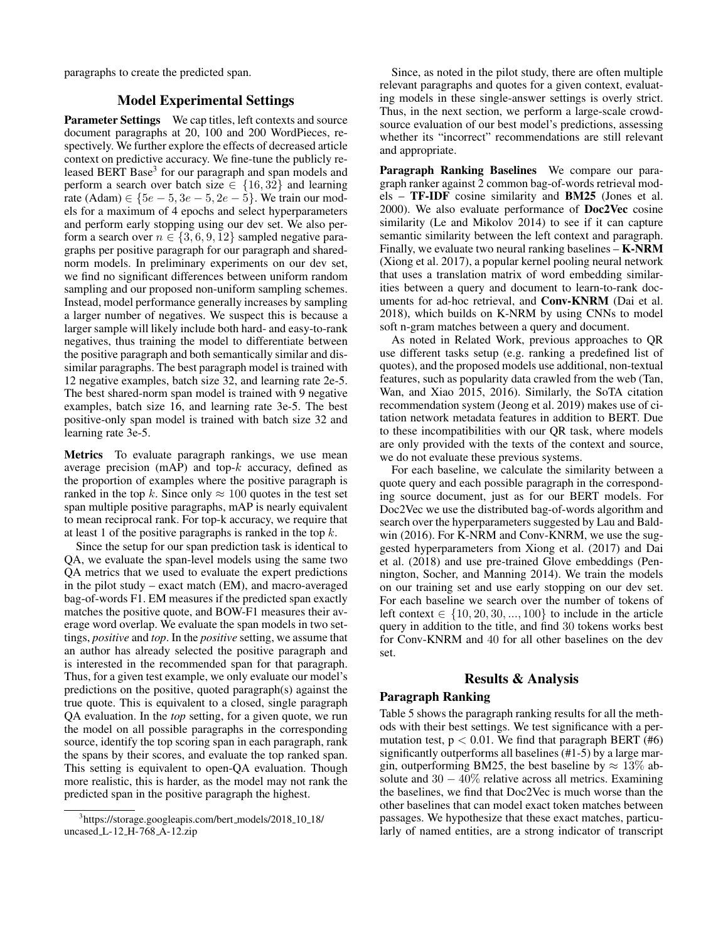paragraphs to create the predicted span.

### Model Experimental Settings

Parameter Settings We cap titles, left contexts and source document paragraphs at 20, 100 and 200 WordPieces, respectively. We further explore the effects of decreased article context on predictive accuracy. We fine-tune the publicly released BERT Base<sup>3</sup> for our paragraph and span models and perform a search over batch size  $\in \{16, 32\}$  and learning rate (Adam) ∈ { $5e - 5$ ,  $3e - 5$ ,  $2e - 5$ }. We train our models for a maximum of 4 epochs and select hyperparameters and perform early stopping using our dev set. We also perform a search over  $n \in \{3, 6, 9, 12\}$  sampled negative paragraphs per positive paragraph for our paragraph and sharednorm models. In preliminary experiments on our dev set, we find no significant differences between uniform random sampling and our proposed non-uniform sampling schemes. Instead, model performance generally increases by sampling a larger number of negatives. We suspect this is because a larger sample will likely include both hard- and easy-to-rank negatives, thus training the model to differentiate between the positive paragraph and both semantically similar and dissimilar paragraphs. The best paragraph model is trained with 12 negative examples, batch size 32, and learning rate 2e-5. The best shared-norm span model is trained with 9 negative examples, batch size 16, and learning rate 3e-5. The best positive-only span model is trained with batch size 32 and learning rate 3e-5.

Metrics To evaluate paragraph rankings, we use mean average precision (mAP) and top- $k$  accuracy, defined as the proportion of examples where the positive paragraph is ranked in the top k. Since only  $\approx 100$  quotes in the test set span multiple positive paragraphs, mAP is nearly equivalent to mean reciprocal rank. For top-k accuracy, we require that at least 1 of the positive paragraphs is ranked in the top  $k$ .

Since the setup for our span prediction task is identical to QA, we evaluate the span-level models using the same two QA metrics that we used to evaluate the expert predictions in the pilot study – exact match (EM), and macro-averaged bag-of-words F1. EM measures if the predicted span exactly matches the positive quote, and BOW-F1 measures their average word overlap. We evaluate the span models in two settings, *positive* and *top*. In the *positive* setting, we assume that an author has already selected the positive paragraph and is interested in the recommended span for that paragraph. Thus, for a given test example, we only evaluate our model's predictions on the positive, quoted paragraph(s) against the true quote. This is equivalent to a closed, single paragraph QA evaluation. In the *top* setting, for a given quote, we run the model on all possible paragraphs in the corresponding source, identify the top scoring span in each paragraph, rank the spans by their scores, and evaluate the top ranked span. This setting is equivalent to open-QA evaluation. Though more realistic, this is harder, as the model may not rank the predicted span in the positive paragraph the highest.

Since, as noted in the pilot study, there are often multiple relevant paragraphs and quotes for a given context, evaluating models in these single-answer settings is overly strict. Thus, in the next section, we perform a large-scale crowdsource evaluation of our best model's predictions, assessing whether its "incorrect" recommendations are still relevant and appropriate.

Paragraph Ranking Baselines We compare our paragraph ranker against 2 common bag-of-words retrieval models – TF-IDF cosine similarity and BM25 (Jones et al. 2000). We also evaluate performance of Doc2Vec cosine similarity (Le and Mikolov 2014) to see if it can capture semantic similarity between the left context and paragraph. Finally, we evaluate two neural ranking baselines – K-NRM (Xiong et al. 2017), a popular kernel pooling neural network that uses a translation matrix of word embedding similarities between a query and document to learn-to-rank documents for ad-hoc retrieval, and Conv-KNRM (Dai et al. 2018), which builds on K-NRM by using CNNs to model soft n-gram matches between a query and document.

As noted in Related Work, previous approaches to QR use different tasks setup (e.g. ranking a predefined list of quotes), and the proposed models use additional, non-textual features, such as popularity data crawled from the web (Tan, Wan, and Xiao 2015, 2016). Similarly, the SoTA citation recommendation system (Jeong et al. 2019) makes use of citation network metadata features in addition to BERT. Due to these incompatibilities with our QR task, where models are only provided with the texts of the context and source, we do not evaluate these previous systems.

For each baseline, we calculate the similarity between a quote query and each possible paragraph in the corresponding source document, just as for our BERT models. For Doc2Vec we use the distributed bag-of-words algorithm and search over the hyperparameters suggested by Lau and Baldwin (2016). For K-NRM and Conv-KNRM, we use the suggested hyperparameters from Xiong et al. (2017) and Dai et al. (2018) and use pre-trained Glove embeddings (Pennington, Socher, and Manning 2014). We train the models on our training set and use early stopping on our dev set. For each baseline we search over the number of tokens of left context  $\in \{10, 20, 30, \ldots, 100\}$  to include in the article query in addition to the title, and find 30 tokens works best for Conv-KNRM and 40 for all other baselines on the dev set.

### Results & Analysis

#### Paragraph Ranking

Table 5 shows the paragraph ranking results for all the methods with their best settings. We test significance with a permutation test,  $p < 0.01$ . We find that paragraph BERT (#6) significantly outperforms all baselines (#1-5) by a large margin, outperforming BM25, the best baseline by  $\approx 13\%$  absolute and  $30 - 40\%$  relative across all metrics. Examining the baselines, we find that Doc2Vec is much worse than the other baselines that can model exact token matches between passages. We hypothesize that these exact matches, particularly of named entities, are a strong indicator of transcript

<sup>&</sup>lt;sup>3</sup>https://storage.googleapis.com/bert\_models/2018\_10\_18/ uncased L-12 H-768 A-12.zip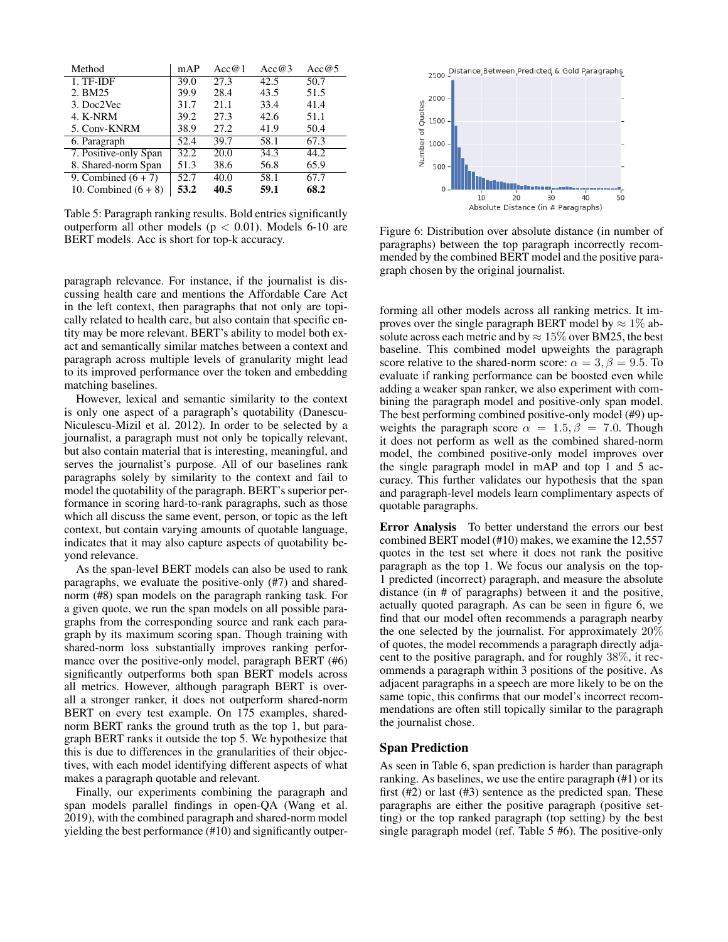| Method                 | mAP  | Acc@1 | Acc@3 | Acc@5 |
|------------------------|------|-------|-------|-------|
| 1. TF-IDF              | 39.0 | 27.3  | 42.5  | 50.7  |
| 2. BM25                | 39.9 | 28.4  | 43.5  | 51.5  |
| 3. Doc2Vec             | 31.7 | 21.1  | 33.4  | 41.4  |
| 4. K-NRM               | 39.2 | 27.3  | 42.6  | 51.1  |
| 5. Conv-KNRM           | 38.9 | 27.2  | 41.9  | 50.4  |
| 6. Paragraph           | 52.4 | 39.7  | 58.1  | 67.3  |
| 7. Positive-only Span  | 32.2 | 20.0  | 34.3  | 44.2  |
| 8. Shared-norm Span    | 51.3 | 38.6  | 56.8  | 65.9  |
| 9. Combined $(6 + 7)$  | 52.7 | 40.0  | 58.1  | 67.7  |
| 10. Combined $(6 + 8)$ | 53.2 | 40.5  | 59.1  | 68.2  |

Table 5: Paragraph ranking results. Bold entries significantly outperform all other models ( $p < 0.01$ ). Models 6-10 are BERT models. Acc is short for top-k accuracy.

paragraph relevance. For instance, if the journalist is discussing health care and mentions the Affordable Care Act in the left context, then paragraphs that not only are topically related to health care, but also contain that specific entity may be more relevant. BERT's ability to model both exact and semantically similar matches between a context and paragraph across multiple levels of granularity might lead to its improved performance over the token and embedding matching baselines.

However, lexical and semantic similarity to the context is only one aspect of a paragraph's quotability (Danescu-Niculescu-Mizil et al. 2012). In order to be selected by a journalist, a paragraph must not only be topically relevant, but also contain material that is interesting, meaningful, and serves the journalist's purpose. All of our baselines rank paragraphs solely by similarity to the context and fail to model the quotability of the paragraph. BERT's superior performance in scoring hard-to-rank paragraphs, such as those which all discuss the same event, person, or topic as the left context, but contain varying amounts of quotable language, indicates that it may also capture aspects of quotability beyond relevance.

As the span-level BERT models can also be used to rank paragraphs, we evaluate the positive-only (#7) and sharednorm (#8) span models on the paragraph ranking task. For a given quote, we run the span models on all possible paragraphs from the corresponding source and rank each paragraph by its maximum scoring span. Though training with shared-norm loss substantially improves ranking performance over the positive-only model, paragraph BERT (#6) significantly outperforms both span BERT models across all metrics. However, although paragraph BERT is overall a stronger ranker, it does not outperform shared-norm BERT on every test example. On 175 examples, sharednorm BERT ranks the ground truth as the top 1, but paragraph BERT ranks it outside the top 5. We hypothesize that this is due to differences in the granularities of their objectives, with each model identifying different aspects of what makes a paragraph quotable and relevant.

Finally, our experiments combining the paragraph and span models parallel findings in open-QA (Wang et al. 2019), with the combined paragraph and shared-norm model yielding the best performance (#10) and significantly outper-



Figure 6: Distribution over absolute distance (in number of paragraphs) between the top paragraph incorrectly recommended by the combined BERT model and the positive paragraph chosen by the original journalist.

forming all other models across all ranking metrics. It improves over the single paragraph BERT model by  $\approx 1\%$  absolute across each metric and by  $\approx 15\%$  over BM25, the best baseline. This combined model upweights the paragraph score relative to the shared-norm score:  $\alpha = 3, \beta = 9.5$ . To evaluate if ranking performance can be boosted even while adding a weaker span ranker, we also experiment with combining the paragraph model and positive-only span model. The best performing combined positive-only model (#9) upweights the paragraph score  $\alpha = 1.5, \beta = 7.0$ . Though it does not perform as well as the combined shared-norm model, the combined positive-only model improves over the single paragraph model in mAP and top 1 and 5 accuracy. This further validates our hypothesis that the span and paragraph-level models learn complimentary aspects of quotable paragraphs.

Error Analysis To better understand the errors our best combined BERT model (#10) makes, we examine the 12,557 quotes in the test set where it does not rank the positive paragraph as the top 1. We focus our analysis on the top-1 predicted (incorrect) paragraph, and measure the absolute distance (in # of paragraphs) between it and the positive, actually quoted paragraph. As can be seen in figure 6, we find that our model often recommends a paragraph nearby the one selected by the journalist. For approximately 20% of quotes, the model recommends a paragraph directly adjacent to the positive paragraph, and for roughly 38%, it recommends a paragraph within 3 positions of the positive. As adjacent paragraphs in a speech are more likely to be on the same topic, this confirms that our model's incorrect recommendations are often still topically similar to the paragraph the journalist chose.

#### Span Prediction

As seen in Table 6, span prediction is harder than paragraph ranking. As baselines, we use the entire paragraph (#1) or its first (#2) or last (#3) sentence as the predicted span. These paragraphs are either the positive paragraph (positive setting) or the top ranked paragraph (top setting) by the best single paragraph model (ref. Table 5 #6). The positive-only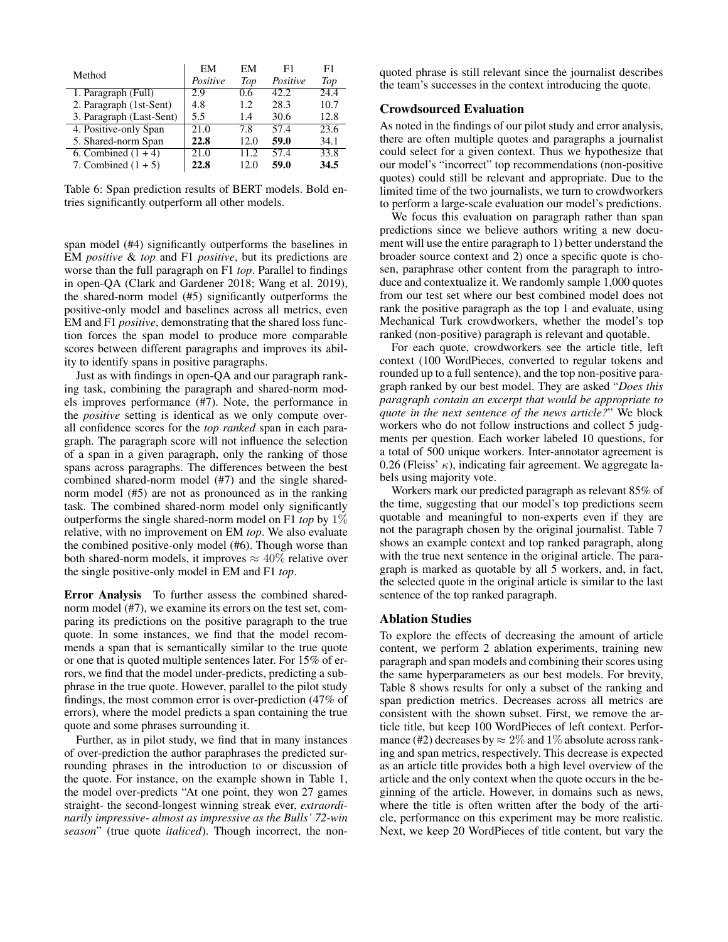| Method                   | EM<br>Positive | EM<br>Top | F1<br>Positive | F1<br>Top |
|--------------------------|----------------|-----------|----------------|-----------|
| 1. Paragraph (Full)      | 2.9            | 0.6       | 42.2.          | 24.4      |
| 2. Paragraph (1st-Sent)  | 4.8            | 1.2       | 28.3           | 10.7      |
| 3. Paragraph (Last-Sent) | 5.5            | 1.4       | 30.6           | 12.8      |
| 4. Positive-only Span    | 21.0           | 7.8       | 57.4           | 23.6      |
| 5. Shared-norm Span      | 22.8           | 12.0      | 59.0           | 34.1      |
| $6.$ Combined $(1 + 4)$  | 21.0           | 11.2      | 57.4           | 33.8      |
| 7. Combined $(1 + 5)$    | 22.8           | 12.0      | 59.0           | 34.5      |

Table 6: Span prediction results of BERT models. Bold entries significantly outperform all other models.

span model (#4) significantly outperforms the baselines in EM *positive* & *top* and F1 *positive*, but its predictions are worse than the full paragraph on F1 *top*. Parallel to findings in open-QA (Clark and Gardener 2018; Wang et al. 2019), the shared-norm model (#5) significantly outperforms the positive-only model and baselines across all metrics, even EM and F1 *positive*, demonstrating that the shared loss function forces the span model to produce more comparable scores between different paragraphs and improves its ability to identify spans in positive paragraphs.

Just as with findings in open-QA and our paragraph ranking task, combining the paragraph and shared-norm models improves performance (#7). Note, the performance in the *positive* setting is identical as we only compute overall confidence scores for the *top ranked* span in each paragraph. The paragraph score will not influence the selection of a span in a given paragraph, only the ranking of those spans across paragraphs. The differences between the best combined shared-norm model (#7) and the single sharednorm model (#5) are not as pronounced as in the ranking task. The combined shared-norm model only significantly outperforms the single shared-norm model on F1 *top* by 1% relative, with no improvement on EM *top*. We also evaluate the combined positive-only model (#6). Though worse than both shared-norm models, it improves  $\approx 40\%$  relative over the single positive-only model in EM and F1 *top*.

Error Analysis To further assess the combined sharednorm model (#7), we examine its errors on the test set, comparing its predictions on the positive paragraph to the true quote. In some instances, we find that the model recommends a span that is semantically similar to the true quote or one that is quoted multiple sentences later. For 15% of errors, we find that the model under-predicts, predicting a subphrase in the true quote. However, parallel to the pilot study findings, the most common error is over-prediction (47% of errors), where the model predicts a span containing the true quote and some phrases surrounding it.

Further, as in pilot study, we find that in many instances of over-prediction the author paraphrases the predicted surrounding phrases in the introduction to or discussion of the quote. For instance, on the example shown in Table 1, the model over-predicts "At one point, they won 27 games straight- the second-longest winning streak ever, *extraordinarily impressive- almost as impressive as the Bulls' 72-win season*" (true quote *italiced*). Though incorrect, the nonquoted phrase is still relevant since the journalist describes the team's successes in the context introducing the quote.

#### Crowdsourced Evaluation

As noted in the findings of our pilot study and error analysis, there are often multiple quotes and paragraphs a journalist could select for a given context. Thus we hypothesize that our model's "incorrect" top recommendations (non-positive quotes) could still be relevant and appropriate. Due to the limited time of the two journalists, we turn to crowdworkers to perform a large-scale evaluation our model's predictions.

We focus this evaluation on paragraph rather than span predictions since we believe authors writing a new document will use the entire paragraph to 1) better understand the broader source context and 2) once a specific quote is chosen, paraphrase other content from the paragraph to introduce and contextualize it. We randomly sample 1,000 quotes from our test set where our best combined model does not rank the positive paragraph as the top 1 and evaluate, using Mechanical Turk crowdworkers, whether the model's top ranked (non-positive) paragraph is relevant and quotable.

For each quote, crowdworkers see the article title, left context (100 WordPieces, converted to regular tokens and rounded up to a full sentence), and the top non-positive paragraph ranked by our best model. They are asked "*Does this paragraph contain an excerpt that would be appropriate to quote in the next sentence of the news article?*" We block workers who do not follow instructions and collect 5 judgments per question. Each worker labeled 10 questions, for a total of 500 unique workers. Inter-annotator agreement is 0.26 (Fleiss'  $\kappa$ ), indicating fair agreement. We aggregate labels using majority vote.

Workers mark our predicted paragraph as relevant 85% of the time, suggesting that our model's top predictions seem quotable and meaningful to non-experts even if they are not the paragraph chosen by the original journalist. Table 7 shows an example context and top ranked paragraph, along with the true next sentence in the original article. The paragraph is marked as quotable by all 5 workers, and, in fact, the selected quote in the original article is similar to the last sentence of the top ranked paragraph.

### Ablation Studies

To explore the effects of decreasing the amount of article content, we perform 2 ablation experiments, training new paragraph and span models and combining their scores using the same hyperparameters as our best models. For brevity, Table 8 shows results for only a subset of the ranking and span prediction metrics. Decreases across all metrics are consistent with the shown subset. First, we remove the article title, but keep 100 WordPieces of left context. Performance (#2) decreases by  $\approx 2\%$  and 1% absolute across ranking and span metrics, respectively. This decrease is expected as an article title provides both a high level overview of the article and the only context when the quote occurs in the beginning of the article. However, in domains such as news, where the title is often written after the body of the article, performance on this experiment may be more realistic. Next, we keep 20 WordPieces of title content, but vary the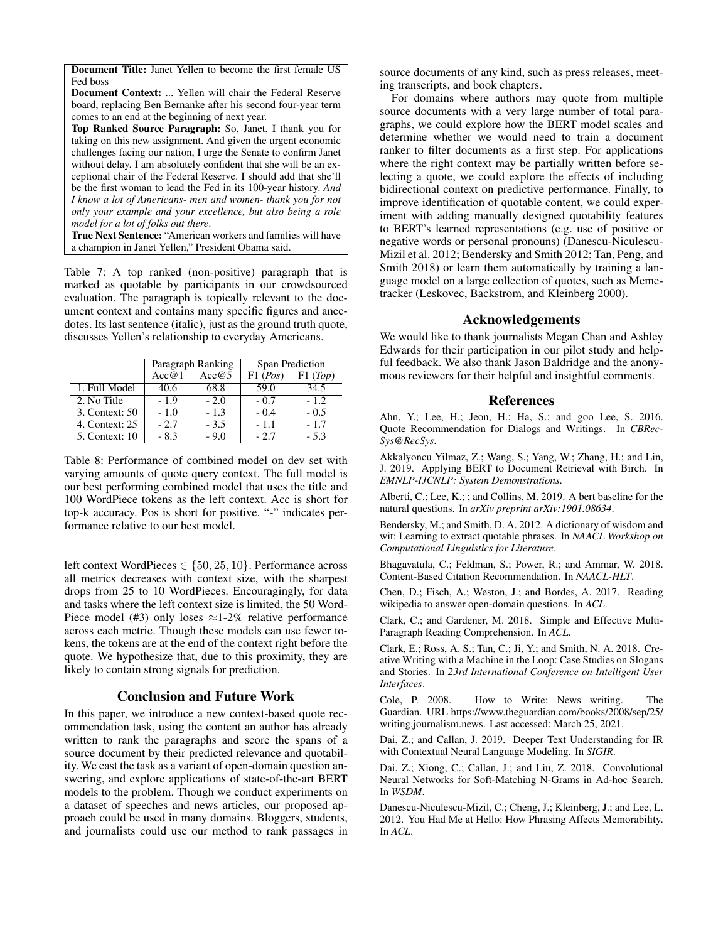Document Title: Janet Yellen to become the first female US Fed boss

Document Context: ... Yellen will chair the Federal Reserve board, replacing Ben Bernanke after his second four-year term comes to an end at the beginning of next year.

Top Ranked Source Paragraph: So, Janet, I thank you for taking on this new assignment. And given the urgent economic challenges facing our nation, I urge the Senate to confirm Janet without delay. I am absolutely confident that she will be an exceptional chair of the Federal Reserve. I should add that she'll be the first woman to lead the Fed in its 100-year history. *And I know a lot of Americans- men and women- thank you for not only your example and your excellence, but also being a role model for a lot of folks out there*.

True Next Sentence: "American workers and families will have a champion in Janet Yellen," President Obama said.

Table 7: A top ranked (non-positive) paragraph that is marked as quotable by participants in our crowdsourced evaluation. The paragraph is topically relevant to the document context and contains many specific figures and anecdotes. Its last sentence (italic), just as the ground truth quote, discusses Yellen's relationship to everyday Americans.

|                | Paragraph Ranking |        | Span Prediction |         |
|----------------|-------------------|--------|-----------------|---------|
|                | Acc@1             | Acc@5  | F1 (Pos)        | F1(Top) |
| 1. Full Model  | 40.6              | 68.8   | 59.0            | 34.5    |
| 2. No Title    | $-1.9$            | $-2.0$ | $-0.7$          | $-1.2.$ |
| 3. Context: 50 | $-1.0$            | $-1.3$ | $-0.4$          | $-0.5$  |
| 4. Context: 25 | $-2.7$            | $-3.5$ | $-1.1$          | $-1.7$  |
| 5. Context: 10 | $-8.3$            | $-9.0$ | $-2.7$          | $-5.3$  |

Table 8: Performance of combined model on dev set with varying amounts of quote query context. The full model is our best performing combined model that uses the title and 100 WordPiece tokens as the left context. Acc is short for top-k accuracy. Pos is short for positive. "-" indicates performance relative to our best model.

left context WordPieces ∈ {50, 25, 10}. Performance across all metrics decreases with context size, with the sharpest drops from 25 to 10 WordPieces. Encouragingly, for data and tasks where the left context size is limited, the 50 Word-Piece model (#3) only loses  $\approx$ 1-2% relative performance across each metric. Though these models can use fewer tokens, the tokens are at the end of the context right before the quote. We hypothesize that, due to this proximity, they are likely to contain strong signals for prediction.

# Conclusion and Future Work

In this paper, we introduce a new context-based quote recommendation task, using the content an author has already written to rank the paragraphs and score the spans of a source document by their predicted relevance and quotability. We cast the task as a variant of open-domain question answering, and explore applications of state-of-the-art BERT models to the problem. Though we conduct experiments on a dataset of speeches and news articles, our proposed approach could be used in many domains. Bloggers, students, and journalists could use our method to rank passages in source documents of any kind, such as press releases, meeting transcripts, and book chapters.

For domains where authors may quote from multiple source documents with a very large number of total paragraphs, we could explore how the BERT model scales and determine whether we would need to train a document ranker to filter documents as a first step. For applications where the right context may be partially written before selecting a quote, we could explore the effects of including bidirectional context on predictive performance. Finally, to improve identification of quotable content, we could experiment with adding manually designed quotability features to BERT's learned representations (e.g. use of positive or negative words or personal pronouns) (Danescu-Niculescu-Mizil et al. 2012; Bendersky and Smith 2012; Tan, Peng, and Smith 2018) or learn them automatically by training a language model on a large collection of quotes, such as Memetracker (Leskovec, Backstrom, and Kleinberg 2000).

#### Acknowledgements

We would like to thank journalists Megan Chan and Ashley Edwards for their participation in our pilot study and helpful feedback. We also thank Jason Baldridge and the anonymous reviewers for their helpful and insightful comments.

#### References

Ahn, Y.; Lee, H.; Jeon, H.; Ha, S.; and goo Lee, S. 2016. Quote Recommendation for Dialogs and Writings. In *CBRec-Sys@RecSys*.

Akkalyoncu Yilmaz, Z.; Wang, S.; Yang, W.; Zhang, H.; and Lin, J. 2019. Applying BERT to Document Retrieval with Birch. In *EMNLP-IJCNLP: System Demonstrations*.

Alberti, C.; Lee, K.; ; and Collins, M. 2019. A bert baseline for the natural questions. In *arXiv preprint arXiv:1901.08634*.

Bendersky, M.; and Smith, D. A. 2012. A dictionary of wisdom and wit: Learning to extract quotable phrases. In *NAACL Workshop on Computational Linguistics for Literature*.

Bhagavatula, C.; Feldman, S.; Power, R.; and Ammar, W. 2018. Content-Based Citation Recommendation. In *NAACL-HLT*.

Chen, D.; Fisch, A.; Weston, J.; and Bordes, A. 2017. Reading wikipedia to answer open-domain questions. In *ACL*.

Clark, C.; and Gardener, M. 2018. Simple and Effective Multi-Paragraph Reading Comprehension. In *ACL*.

Clark, E.; Ross, A. S.; Tan, C.; Ji, Y.; and Smith, N. A. 2018. Creative Writing with a Machine in the Loop: Case Studies on Slogans and Stories. In *23rd International Conference on Intelligent User Interfaces*.

Cole, P. 2008. How to Write: News writing. The Guardian. URL https://www.theguardian.com/books/2008/sep/25/ writing.journalism.news. Last accessed: March 25, 2021.

Dai, Z.; and Callan, J. 2019. Deeper Text Understanding for IR with Contextual Neural Language Modeling. In *SIGIR*.

Dai, Z.; Xiong, C.; Callan, J.; and Liu, Z. 2018. Convolutional Neural Networks for Soft-Matching N-Grams in Ad-hoc Search. In *WSDM*.

Danescu-Niculescu-Mizil, C.; Cheng, J.; Kleinberg, J.; and Lee, L. 2012. You Had Me at Hello: How Phrasing Affects Memorability. In *ACL*.